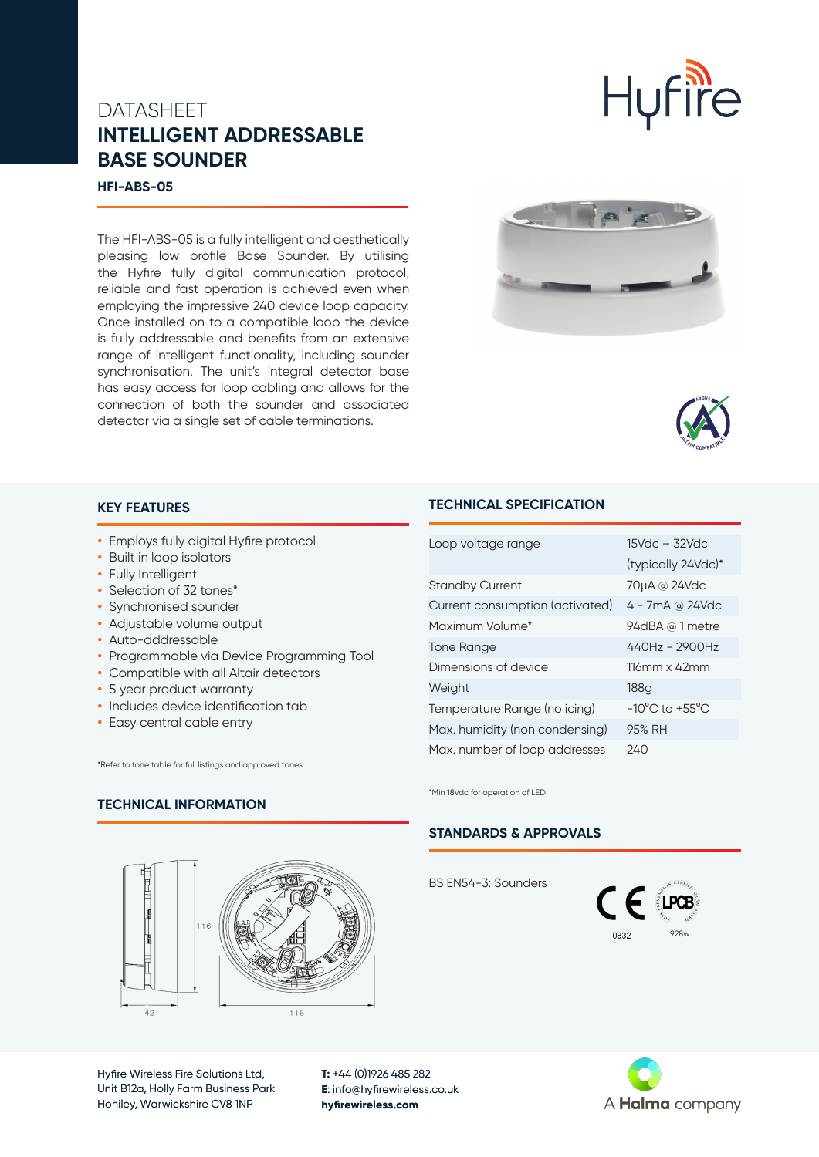## **DATASHEET INTELLIGENT ADDRESSABLE BASE SOUNDER**

#### **HFI-ABS-05**

The HFI-ABS-05 is a fully intelligent and aesthetically pleasing low profile Base Sounder. By utilising the Hyfire fully digital communication protocol, reliable and fast operation is achieved even when employing the impressive 240 device loop capacity. Once installed on to a compatible loop the device is fully addressable and benefits from an extensive range of intelligent functionality, including sounder synchronisation. The unit's integral detector base has easy access for loop cabling and allows for the connection of both the sounder and associated detector via a single set of cable terminations.





Hufire

### **KEY FEATURES**

- **•** Employs fully digital Hyfire protocol
- **•** Built in loop isolators
- **•** Fully Intelligent
- **•** Selection of 32 tones\*
- **•** Synchronised sounder
- **•** Adjustable volume output
- **•** Auto-addressable
- **•** Programmable via Device Programming Tool
- **•** Compatible with all Altair detectors
- **•** 5 year product warranty
- **•** Includes device identification tab
- **•** Easy central cable entry

**TECHNICAL INFORMATION**

\*Refer to tone table for full listings and approved tones.

### **TECHNICAL SPECIFICATION**

| Loop voltage range              | $15$ Vdc $-$ 32Vdc                 |
|---------------------------------|------------------------------------|
|                                 | (typically 24Vdc)*                 |
| <b>Standby Current</b>          | 70µA @ 24Vdc                       |
| Current consumption (activated) | $4 - 7mA$ @ 24Vdc                  |
| Maximum Volume*                 | 94dBA @ 1 metre                    |
| Tone Range                      | $440Hz - 2900Hz$                   |
| Dimensions of device            | $116$ mm x 42mm                    |
| Weight                          | 188a                               |
| Temperature Range (no icing)    | $-10^{\circ}$ C to $+55^{\circ}$ C |
| Max. humidity (non condensing)  | 95% RH                             |
| Max. number of loop addresses   | 240                                |

\*Min 18Vdc for operation of LED

#### **STANDARDS & APPROVALS**

BS EN54-3: Sounders





Hyfire Wireless Fire Solutions Ltd, Unit B12a, Holly Farm Business Park Honiley, Warwickshire CV8 1NP

**T:** +44 (0)1926 485 282 **E**: info@hyfirewireless.co.uk **hyfirewireless.com**

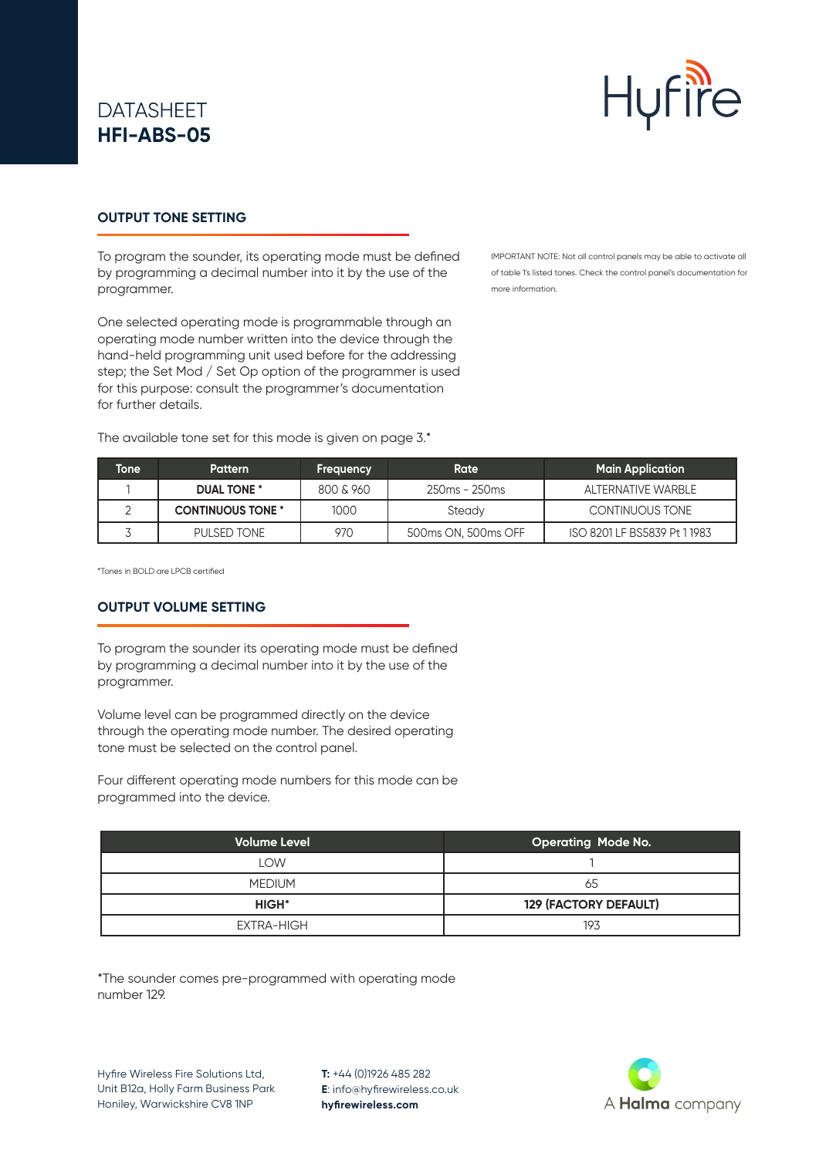# DATASHEET **HFI-ABS-05**



### **OUTPUT TONE SETTING**

To program the sounder, its operating mode must be defined by programming a decimal number into it by the use of the programmer.

One selected operating mode is programmable through an operating mode number written into the device through the hand-held programming unit used before for the addressing step; the Set Mod / Set Op option of the programmer is used for this purpose: consult the programmer's documentation for further details.

The available tone set for this mode is given on page 3.\*

IMPORTANT NOTE: Not all control panels may be able to activate all of table 1's listed tones. Check the control panel's documentation for more information.

| Tonel | <b>Pattern</b>           | Frequency | Rate                | <b>Main Application</b>      |
|-------|--------------------------|-----------|---------------------|------------------------------|
|       | <b>DUAL TONE *</b>       | 800 & 960 | 250ms - 250ms       | AI TERNATIVE WARRI F         |
|       | <b>CONTINUOUS TONE *</b> | 1000      | Steady              | CONTINUOUS TONE              |
|       | PULSED TONE              | 970       | 500ms ON, 500ms OFF | ISO 8201 LF BS5839 Pt 1 1983 |

\*Tones in BOLD are LPCB certified

#### **OUTPUT VOLUME SETTING**

To program the sounder its operating mode must be defined by programming a decimal number into it by the use of the programmer.

Volume level can be programmed directly on the device through the operating mode number. The desired operating tone must be selected on the control panel.

Four different operating mode numbers for this mode can be programmed into the device.

| <b>Volume Level</b> | <b>Operating Mode No.</b>    |
|---------------------|------------------------------|
| LOW                 |                              |
| <b>MEDIUM</b>       | 65                           |
| <b>HIGH*</b>        | <b>129 (FACTORY DEFAULT)</b> |
| EXTRA-HIGH          | 193                          |

\*The sounder comes pre-programmed with operating mode number 129.

Hyfire Wireless Fire Solutions Ltd, Unit B12a, Holly Farm Business Park Honiley, Warwickshire CV8 1NP

**T:** +44 (0)1926 485 282 **E**: info@hyfirewireless.co.uk **hyfirewireless.com**